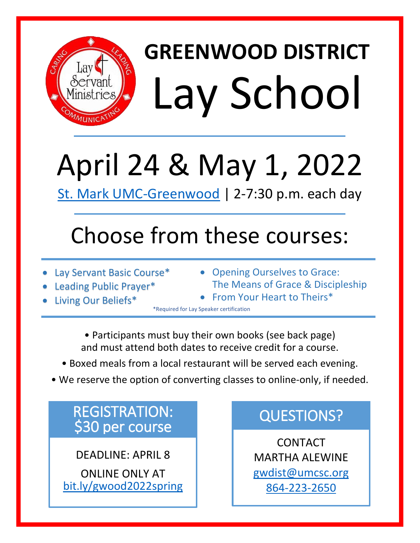

# April 24 & May 1, 2022

[St. Mark UMC-Greenwood](https://goo.gl/maps/PwZSYdCtBXEJKH1C8) | 2-7:30 p.m. each day

### Choose from these courses:

- Lay Servant Basic Course\*
- Leading Public Prayer\*
- Living Our Beliefs\*
- Opening Ourselves to Grace: The Means of Grace & Discipleship
- From Your Heart to Theirs\*

\*Required for Lay Speaker certification

• Participants must buy their own books (see back page) and must attend both dates to receive credit for a course.

- Boxed meals from a local restaurant will be served each evening.
- We reserve the option of converting classes to online-only, if needed.

## REGISTRATION:<br>\$30 per course

DEADLINE: APRIL 8

ONLINE ONLY AT [bit.ly/gwood2022spring](https://bit.ly/gwood2022spring)

#### QUESTIONS?

CONTACT MARTHA ALEWINE [gwdist@umcsc.org](mailto:gwdist@umcsc.org) [864-223-2650](tel:864-223-2650)